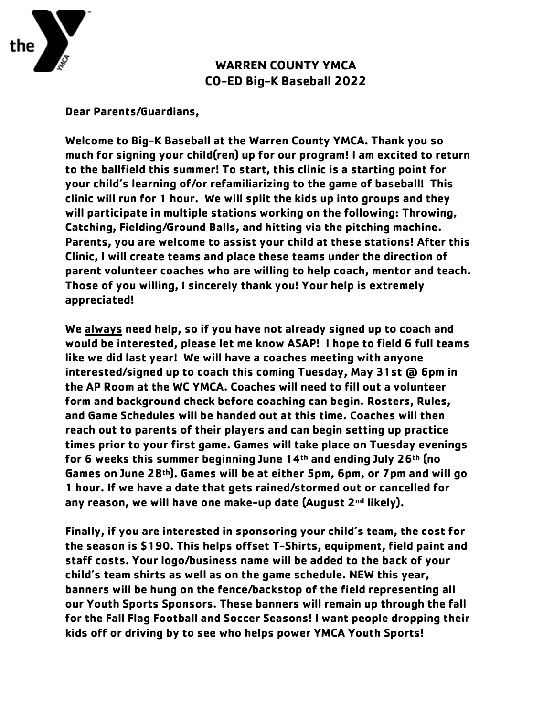

## **WARREN COUNTY YMCA CO-ED Big-K Baseball 2022**

**Dear Parents/Guardians,**

**Welcome to Big-K Baseball at the Warren County YMCA. Thank you so much for signing your child(ren) up for our program! I am excited to return to the ballfield this summer! To start, this clinic is a starting point for your child's learning of/or refamiliarizing to the game of baseball! This clinic will run for 1 hour. We will split the kids up into groups and they will participate in multiple stations working on the following: Throwing, Catching, Fielding/Ground Balls, and hitting via the pitching machine. Parents, you are welcome to assist your child at these stations! After this Clinic, I will create teams and place these teams under the direction of parent volunteer coaches who are willing to help coach, mentor and teach. Those of you willing, I sincerely thank you! Your help is extremely appreciated!**

**We always need help, so if you have not already signed up to coach and would be interested, please let me know ASAP! I hope to field 6 full teams like we did last year! We will have a coaches meeting with anyone interested/signed up to coach this coming Tuesday, May 31st @ 6pm in the AP Room at the WC YMCA. Coaches will need to fill out a volunteer form and background check before coaching can begin. Rosters, Rules, and Game Schedules will be handed out at this time. Coaches will then reach out to parents of their players and can begin setting up practice times prior to your first game. Games will take place on Tuesday evenings for 6 weeks this summer beginning June 14th and ending July 26th (no Games on June 28th). Games will be at either 5pm, 6pm, or 7pm and will go 1 hour. If we have a date that gets rained/stormed out or cancelled for any reason, we will have one make-up date (August 2nd likely).** 

**Finally, if you are interested in sponsoring your child's team, the cost for the season is \$190. This helps offset T-Shirts, equipment, field paint and staff costs. Your logo/business name will be added to the back of your child's team shirts as well as on the game schedule. NEW this year, banners will be hung on the fence/backstop of the field representing all our Youth Sports Sponsors. These banners will remain up through the fall for the Fall Flag Football and Soccer Seasons! I want people dropping their kids off or driving by to see who helps power YMCA Youth Sports!**